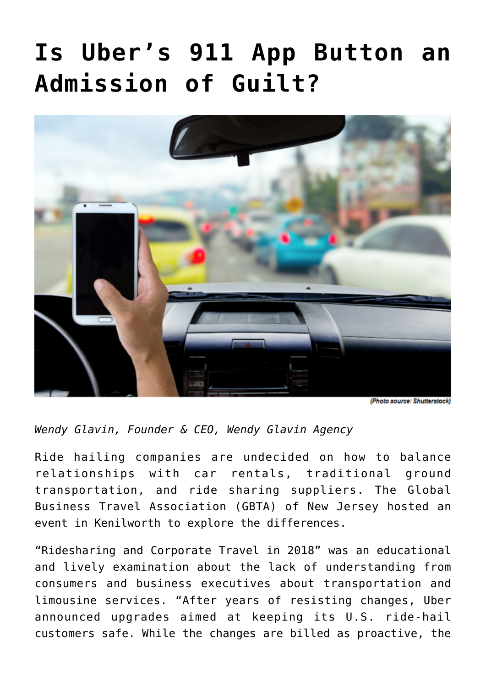## **[Is Uber's 911 App Button an](https://www.commpro.biz/is-ubers-911-app-button-an-admission-of-guilt/) [Admission of Guilt?](https://www.commpro.biz/is-ubers-911-app-button-an-admission-of-guilt/)**



(Photo source: Shutterstock)

*Wendy Glavin, Founder & CEO, [Wendy Glavin Agency](https://wendyglavin.com/)*

Ride hailing companies are undecided on how to balance relationships with car rentals, traditional ground transportation, and ride sharing suppliers. The Global Business Travel Association ([GBTA\)](https://www.gbta.org/) of New Jersey hosted an event in Kenilworth to explore the differences.

"Ridesharing and Corporate Travel in 2018" was an educational and lively examination about the lack of understanding from consumers and business executives about transportation and limousine services. "After years of resisting changes, Uber announced upgrades aimed at keeping its U.S. ride-hail customers safe. While the changes are billed as proactive, the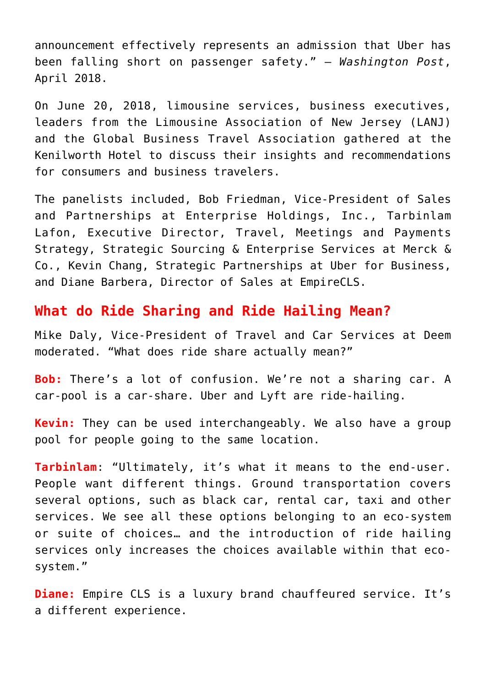announcement effectively represents an admission that Uber has been falling short on passenger safety." — *Washington Post*, April 2018.

On June 20, 2018, limousine services, business executives, leaders from the Limousine Association of New Jersey ([LANJ\)](https://www.lanj.org/) and the Global Business Travel Association gathered at the Kenilworth Hotel to discuss their insights and recommendations for consumers and business travelers.

The panelists included, Bob Friedman, Vice-President of Sales and Partnerships at [Enterprise Holdings, Inc.,](https://www.enterpriseholdings.com/en/index.html) [Tarbinlam](https://www.linkedin.com/in/tarbinlam-lafon-5088a0/) [Lafon,](https://www.linkedin.com/in/tarbinlam-lafon-5088a0/) Executive Director, Travel, Meetings and Payments Strategy, Strategic Sourcing & Enterprise Services at Merck & Co., [Kevin Chang](https://www.linkedin.com/in/kevin-chang-9591807/), Strategic Partnerships at Uber for Business, and [Diane Barbera,](https://www.linkedin.com/in/diane-barbera-79112123/) Director of Sales at [EmpireCLS.](https://www.empirecls.com/)

## **What do Ride Sharing and Ride Hailing Mean?**

[Mike Daly,](https://www.linkedin.com/in/mikedaly1/) Vice-President of Travel and Car Services at Deem moderated. "What does ride share actually mean?"

**Bob:** There's a lot of confusion. We're not a sharing car. A car-pool is a car-share. Uber and Lyft are ride-hailing.

**Kevin:** They can be used interchangeably. We also have a group pool for people going to the same location.

**Tarbinlam**: "Ultimately, it's what it means to the end-user. People want different things. Ground transportation covers several options, such as black car, rental car, taxi and other services. We see all these options belonging to an eco-system or suite of choices… and the introduction of ride hailing services only increases the choices available within that ecosystem."

**Diane:** Empire CLS is a luxury brand chauffeured service. It's a different experience.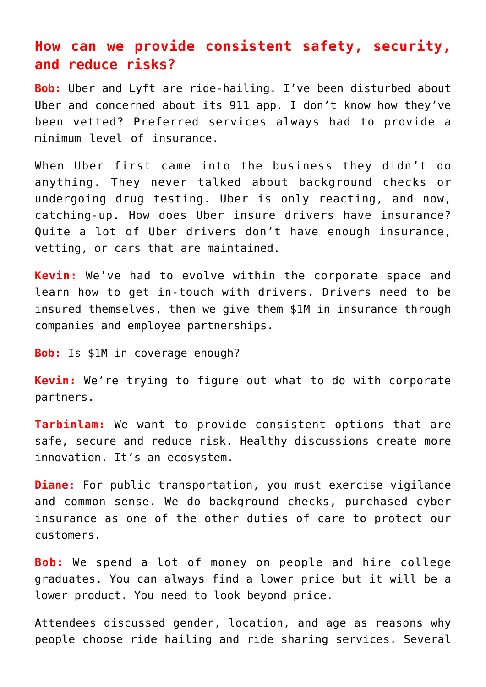## **How can we provide consistent safety, security, and reduce risks?**

**Bob:** Uber and Lyft are ride-hailing. I've been disturbed about Uber and concerned about its 911 app. I don't know how they've been vetted? Preferred services always had to provide a minimum level of insurance.

When Uber first came into the business they didn't do anything. They never talked about background checks or undergoing drug testing. Uber is only reacting, and now, catching-up. How does Uber insure drivers have insurance? Quite a lot of Uber drivers don't have enough insurance, vetting, or cars that are maintained.

**Kevin:** We've had to evolve within the corporate space and learn how to get in-touch with drivers. Drivers need to be insured themselves, then we give them \$1M in insurance through companies and employee partnerships.

**Bob:** Is \$1M in coverage enough?

**Kevin:** We're trying to figure out what to do with corporate partners.

**Tarbinlam:** We want to provide consistent options that are safe, secure and reduce risk. Healthy discussions create more innovation. It's an ecosystem.

**Diane:** For public transportation, you must exercise vigilance and common sense. We do background checks, purchased cyber insurance as one of the other duties of care to protect our customers.

**Bob:** We spend a lot of money on people and hire college graduates. You can always find a lower price but it will be a lower product. You need to look beyond price.

Attendees discussed gender, location, and age as reasons why people choose ride hailing and ride sharing services. Several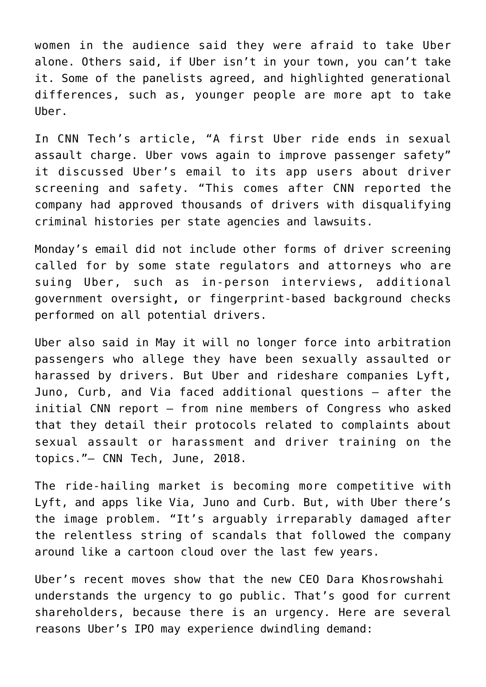women in the audience said they were afraid to take Uber alone. Others said, if Uber isn't in your town, you can't take it. Some of the panelists agreed, and highlighted generational differences, such as, younger people are more apt to take Uber.

In CNN Tech's article, "A first Uber ride ends in sexual assault charge. Uber vows again to improve passenger safety" it discussed Uber's email to its app users about driver screening and safety. "This comes after CNN [reported](https://www.cnn.com/2018/06/01/us/felons-driving-for-uber-invs/index.html?iid=EL) the company had approved thousands of drivers with disqualifying criminal histories per state agencies and lawsuits.

Monday's email did not include other forms of driver screening called for by some state regulators and attorneys who are suing Uber, such as in-person interviews, additional government oversight**,** or fingerprint-based background checks performed on all potential drivers.

Uber also said in May it will no longer force into arbitration passengers who allege they have been sexually assaulted or harassed by drivers. But Uber and rideshare companies Lyft, Juno, Curb, and Via [faced additional questions](https://money.cnn.com/2018/05/21/technology/uber-lawmakers-letter-driver-assaults/index.html?iid=EL) — after the initial CNN report — from nine members of Congress who asked that they detail their protocols related to complaints about sexual assault or harassment and driver training on the topics."– [CNN Tech,](https://money.cnn.com/2018/06/04/technology/uber-passenger-safety/index.html) June, 2018.

The ride-hailing market is becoming more competitive with Lyft, and apps like Via, Juno and Curb. But, with Uber there's the image problem. "It's arguably irreparably damaged after the relentless string of scandals that followed the company around like a cartoon cloud over the last few years.

Uber's recent moves show that the new CEO Dara Khosrowshahi understands the urgency to go public. That's good for current shareholders, because there is an urgency. Here are several reasons Uber's [IPO](https://money.usnews.com/investing/articles/2016-11-21/the-10-most-anticipated-ipos-of-2017) may experience dwindling demand: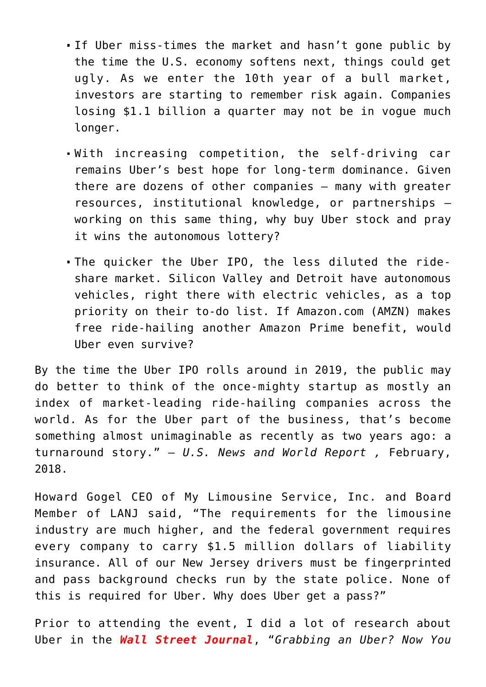- If Uber miss-times the market and hasn't gone public by the time the U.S. economy softens next, things could get ugly. As we enter the 10th year of a bull market, investors are starting to remember risk again. Companies losing \$1.1 billion a quarter may not be in vogue much longer.
- With increasing competition, the self-driving car remains Uber's best hope for long-term dominance. Given there are dozens of other companies – many with greater resources, institutional knowledge, or partnerships – working on this same thing, why buy Uber stock and pray it wins the autonomous lottery?
- The quicker the Uber IPO, the less diluted the rideshare market. Silicon Valley and Detroit have autonomous vehicles, right there with electric vehicles, as a top priority on their to-do list. If [Amazon.com](https://money.usnews.com/investing/stock-market-news/articles/2018-02-02/amazon-com-inc-amzn-stock) [\(AMZN](https://money.usnews.com/investing/stocks/amzn-amazoncom-inc)) makes free ride-hailing another Amazon Prime benefit, would Uber even survive?

By the time the Uber IPO rolls around in 2019, the public may do better to think of the once-mighty startup as mostly an index of market-leading ride-hailing companies across the world. As for the Uber part of the business, that's become something almost unimaginable as recently as two years ago: a turnaround story." – *[U.S. News and World Report](https://money.usnews.com/investing/stock-market-news/articles/2018-02-20/uber-ipo) ,* February, 2018.

Howard Gogel CEO of My Limousine Service, Inc. and Board Member of LANJ said, "The requirements for the limousine industry are much higher, and the federal government requires every company to carry \$1.5 million dollars of liability insurance. All of our New Jersey drivers must be fingerprinted and pass background checks run by the state police. None of this is required for Uber. Why does Uber get a pass?"

Prior to attending the event, I did a lot of research about Uber in the *[Wall Street Journal](https://www.wsj.com/articles/grabbing-an-uber-now-you-can-buy-your-own-insurance-for-the-ride-1528973400)*, "*Grabbing an Uber? Now You*